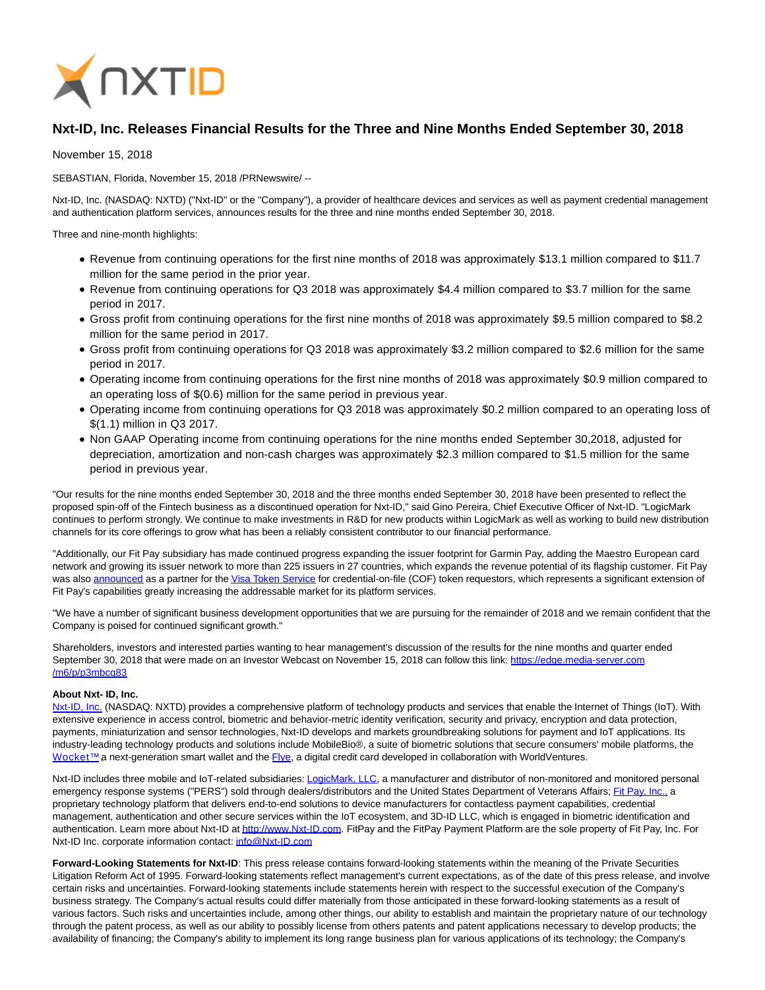

## **Nxt-ID, Inc. Releases Financial Results for the Three and Nine Months Ended September 30, 2018**

November 15, 2018

SEBASTIAN, Florida, November 15, 2018 /PRNewswire/ --

Nxt-ID, Inc. (NASDAQ: NXTD) ("Nxt-ID" or the "Company"), a provider of healthcare devices and services as well as payment credential management and authentication platform services, announces results for the three and nine months ended September 30, 2018.

Three and nine-month highlights:

- Revenue from continuing operations for the first nine months of 2018 was approximately \$13.1 million compared to \$11.7 million for the same period in the prior year.
- Revenue from continuing operations for Q3 2018 was approximately \$4.4 million compared to \$3.7 million for the same period in 2017.
- Gross profit from continuing operations for the first nine months of 2018 was approximately \$9.5 million compared to \$8.2 million for the same period in 2017.
- Gross profit from continuing operations for Q3 2018 was approximately \$3.2 million compared to \$2.6 million for the same period in 2017.
- Operating income from continuing operations for the first nine months of 2018 was approximately \$0.9 million compared to an operating loss of \$(0.6) million for the same period in previous year.
- Operating income from continuing operations for Q3 2018 was approximately \$0.2 million compared to an operating loss of \$(1.1) million in Q3 2017.
- Non GAAP Operating income from continuing operations for the nine months ended September 30,2018, adjusted for depreciation, amortization and non-cash charges was approximately \$2.3 million compared to \$1.5 million for the same period in previous year.

"Our results for the nine months ended September 30, 2018 and the three months ended September 30, 2018 have been presented to reflect the proposed spin-off of the Fintech business as a discontinued operation for Nxt-ID," said Gino Pereira, Chief Executive Officer of Nxt-ID. "LogicMark continues to perform strongly. We continue to make investments in R&D for new products within LogicMark as well as working to build new distribution channels for its core offerings to grow what has been a reliably consistent contributor to our financial performance.

"Additionally, our Fit Pay subsidiary has made continued progress expanding the issuer footprint for Garmin Pay, adding the Maestro European card network and growing its issuer network to more than 225 issuers in 27 countries, which expands the revenue potential of its flagship customer. Fit Pay was also [announced a](mailto:https://www.businesswire.com/news/home/20181017005149/en/Visa-Unveils-New-Partners-Tokenization-Increase-Payment)s a partner for th[e Visa Token Service f](http://cts.businesswire.com/ct/CT?id=smartlink&url=https%3A%2F%2Fusa.visa.com%2Fabout-visa%2Fnewsroom%2Fpress-releases.releaseId.9896.html&esheet=51884160&newsitemid=20181017005149&lan=en-US&anchor=Visa+Token+Service&index=1&md5=515d68f465290487f8a36ae4b594625c)or credential-on-file (COF) token requestors, which represents a significant extension of Fit Pay's capabilities greatly increasing the addressable market for its platform services.

"We have a number of significant business development opportunities that we are pursuing for the remainder of 2018 and we remain confident that the Company is poised for continued significant growth."

Shareholders, investors and interested parties wanting to hear management's discussion of the results for the nine months and quarter ended September 30, 2018 that were made on an Investor Webcast on November 15, 2018 can follow this link: [https://edge.media-server.com](https://edge.media-server.com/m6/p/p3mbcg83) /m6/p/p3mbcg83

## **About Nxt- ID, Inc.**

[Nxt-ID, Inc. \(](http://www.nxt-id.com/)NASDAQ: NXTD) provides a comprehensive platform of technology products and services that enable the Internet of Things (IoT). With extensive experience in access control, biometric and behavior-metric identity verification, security and privacy, encryption and data protection, payments, miniaturization and sensor technologies, Nxt-ID develops and markets groundbreaking solutions for payment and IoT applications. Its industry-leading technology products and solutions include MobileBio®, a suite of biometric solutions that secure consumers' mobile platforms, the Wocket™ a next-generation smart wallet and the [Flye,](https://www.flye.com/) a digital credit card developed in collaboration with WorldVentures.

Nxt-ID includes three mobile and IoT-related subsidiaries: [LogicMark, LLC,](https://www.logicmark.com/) a manufacturer and distributor of non-monitored and monitored personal emergency response systems ("PERS") sold through dealers/distributors and the United States Department of Veterans Affairs[; Fit Pay, Inc., a](http://www.fit-pay.com/) proprietary technology platform that delivers end-to-end solutions to device manufacturers for contactless payment capabilities, credential management, authentication and other secure services within the IoT ecosystem, and 3D-ID LLC, which is engaged in biometric identification and authentication. Learn more about Nxt-ID a[t http://www.Nxt-ID.com.](http://www.nxt-id.com/) FitPay and the FitPay Payment Platform are the sole property of Fit Pay, Inc. For Nxt-ID Inc. corporate information contact: [info@Nxt-ID.com](mailto:info@Nxt-ID.com)

**Forward-Looking Statements for Nxt-ID**: This press release contains forward-looking statements within the meaning of the Private Securities Litigation Reform Act of 1995. Forward-looking statements reflect management's current expectations, as of the date of this press release, and involve certain risks and uncertainties. Forward-looking statements include statements herein with respect to the successful execution of the Company's business strategy. The Company's actual results could differ materially from those anticipated in these forward-looking statements as a result of various factors. Such risks and uncertainties include, among other things, our ability to establish and maintain the proprietary nature of our technology through the patent process, as well as our ability to possibly license from others patents and patent applications necessary to develop products; the availability of financing; the Company's ability to implement its long range business plan for various applications of its technology; the Company's